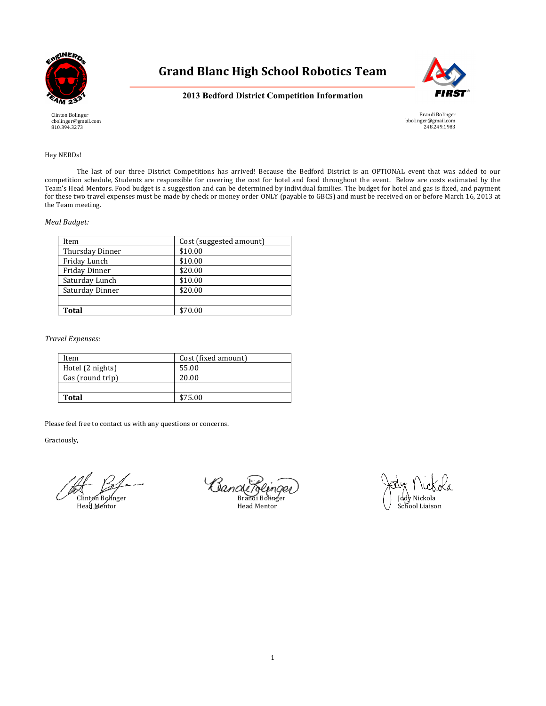



# **2013 Bedford District Competition Information**

Brandi Bolinger bbolinger@gmail.com 248.249.1983

# Hey NERDs!

Clinton Bolinger cbolinger@gmail.com 810.394.3273

The last of our three District Competitions has arrived! Because the Bedford District is an OPTIONAL event that was added to our competition schedule, Students are responsible for covering the cost for hotel and food throughout the event. Below are costs estimated by the Team's Head Mentors. Food budget is a suggestion and can be determined by individual families. The budget for hotel and gas is fixed, and payment for these two travel expenses must be made by check or money order ONLY (payable to GBCS) and must be received on or before March 16, 2013 at the Team meeting.

# *Meal Budget:*

| Item            | Cost (suggested amount) |
|-----------------|-------------------------|
| Thursday Dinner | \$10.00                 |
| Friday Lunch    | \$10.00                 |
| Friday Dinner   | \$20.00                 |
| Saturday Lunch  | \$10.00                 |
| Saturday Dinner | \$20.00                 |
|                 |                         |
| Total           | \$70.00                 |

*Travel Expenses:*

| Item             | Cost (fixed amount) |
|------------------|---------------------|
| Hotel (2 nights) | 55.00               |
| Gas (round trip) | 20.00               |
|                  |                     |
| <b>Total</b>     | \$75.00             |

Please feel free to contact us with any questions or concerns.

Graciously,

Clande Beinger (Sande Bernger)<br>Clinton Bolinger Brandi Bolinger (Jody Nickola<br>Head Mentor Head Mentor School Liaison

School Liaison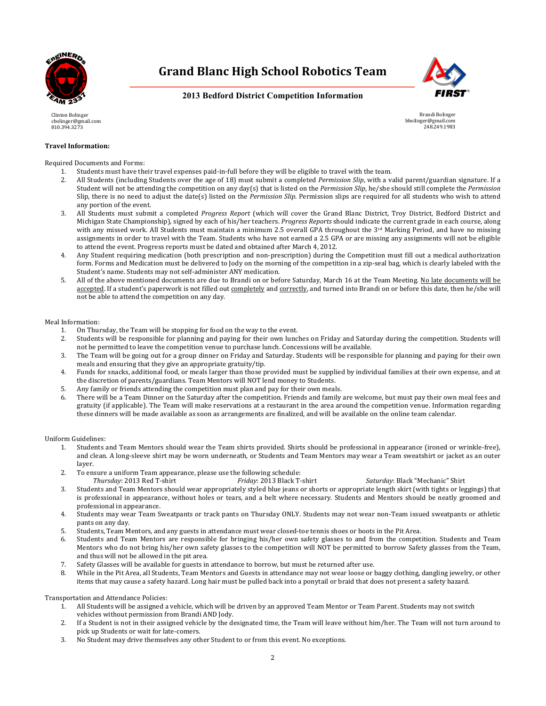



**2013 Bedford District Competition Information**

Brandi Bolinger bbolinger@gmail.com 248.249.1983

Clinton Bolinger cbolinger@gmail.com 810.394.3273

# **Travel Information:**

Required Documents and Forms:

- 1. Students must have their travel expenses paid-in-full before they will be eligible to travel with the team.
- 2. All Students (including Students over the age of 18) must submit a completed *Permission Slip*, with a valid parent/guardian signature. If a Student will not be attending the competition on any day(s) that is listed on the *Permission Slip*, he/she should still complete the *Permission* Slip, there is no need to adjust the date(s) listed on the *Permission Slip.* Permission slips are required for all students who wish to attend any portion of the event.
- 3. All Students must submit a completed *Progress Report* (which will cover the Grand Blanc District, Troy District, Bedford District and Michigan State Championship), signed by each of his/her teachers. *Progress Reports* should indicate the current grade in each course, along with any missed work. All Students must maintain a minimum 2.5 overall GPA throughout the  $3^{rd}$  Marking Period, and have no missing assignments in order to travel with the Team. Students who have not earned a 2.5 GPA or are missing any assignments will not be eligible to attend the event. Progress reports must be dated and obtained after March 4, 2012.
- 4. Any Student requiring medication (both prescription and non-prescription) during the Competition must fill out a medical authorization form. Forms and Medication must be delivered to Jody on the morning of the competition in a zip-seal bag, which is clearly labeled with the Student's name. Students may not self-administer ANY medication.
- 5. All of the above mentioned documents are due to Brandi on or before Saturday, March 16 at the Team Meeting. No late documents will be accepted. If a student's paperwork is not filled out completely and correctly, and turned into Brandi on or before this date, then he/she will not be able to attend the competition on any day.

#### Meal Information:

- 1. On Thursday, the Team will be stopping for food on the way to the event.
- 2. Students will be responsible for planning and paying for their own lunches on Friday and Saturday during the competition. Students will not be permitted to leave the competition venue to purchase lunch. Concessions will be available.
- 3. The Team will be going out for a group dinner on Friday and Saturday. Students will be responsible for planning and paying for their own meals and ensuring that they give an appropriate gratuity/tip.
- 4. Funds for snacks, additional food, or meals larger than those provided must be supplied by individual families at their own expense, and at the discretion of parents/guardians. Team Mentors will NOT lend money to Students.
- 5. Any family or friends attending the competition must plan and pay for their own meals.
- 6. There will be a Team Dinner on the Saturday after the competition. Friends and family are welcome, but must pay their own meal fees and gratuity (if applicable). The Team will make reservations at a restaurant in the area around the competition venue. Information regarding these dinners will be made available as soon as arrangements are finalized, and will be available on the online team calendar.

Uniform Guidelines:

- 1. Students and Team Mentors should wear the Team shirts provided. Shirts should be professional in appearance (ironed or wrinkle-free), and clean. A long-sleeve shirt may be worn underneath, or Students and Team Mentors may wear a Team sweatshirt or jacket as an outer layer.
- 2. To ensure a uniform Team appearance, please use the following schedule:
- *Thursday*: 2013 Red T-shirt *Friday*: 2013 Black T-shirt *Saturday*: Black "Mechanic" Shirt
- 3. Students and Team Mentors should wear appropriately styled blue jeans or shorts or appropriate length skirt (with tights or leggings) that is professional in appearance, without holes or tears, and a belt where necessary. Students and Mentors should be neatly groomed and professional in appearance.
- 4. Students may wear Team Sweatpants or track pants on Thursday ONLY. Students may not wear non-Team issued sweatpants or athletic pants on any day.
- 5. Students, Team Mentors, and any guests in attendance must wear closed-toe tennis shoes or boots in the Pit Area.
- 6. Students and Team Mentors are responsible for bringing his/her own safety glasses to and from the competition. Students and Team Mentors who do not bring his/her own safety glasses to the competition will NOT be permitted to borrow Safety glasses from the Team, and thus will not be allowed in the pit area.
- 7. Safety Glasses will be available for guests in attendance to borrow, but must be returned after use.
- 8. While in the Pit Area, all Students, Team Mentors and Guests in attendance may not wear loose or baggy clothing, dangling jewelry, or other items that may cause a safety hazard. Long hair must be pulled back into a ponytail or braid that does not present a safety hazard.

Transportation and Attendance Policies:

- 1. All Students will be assigned a vehicle, which will be driven by an approved Team Mentor or Team Parent. Students may not switch vehicles without permission from Brandi AND Jody.
- 2. If a Student is not in their assigned vehicle by the designated time, the Team will leave without him/her. The Team will not turn around to pick up Students or wait for late-comers.
- 3. No Student may drive themselves any other Student to or from this event. No exceptions.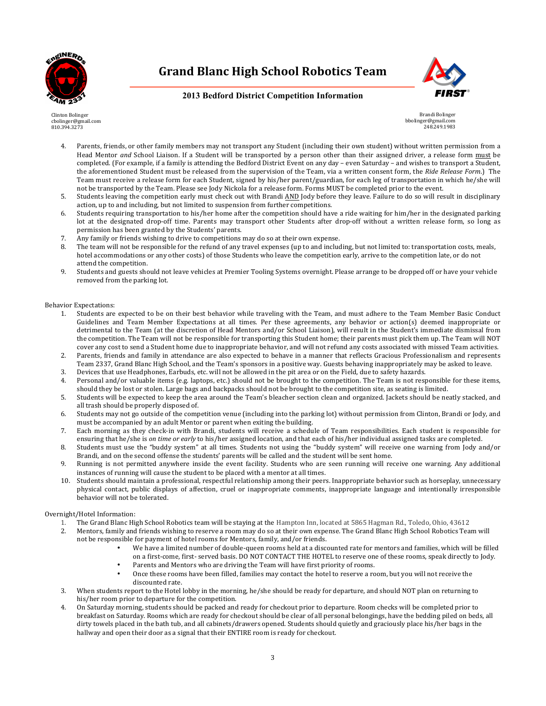



## **2013 Bedford District Competition Information**

Clinton Bolinger cbolinger@gmail.com 810.394.3273

Brandi Bolinger bbolinger@gmail.com 248.249.1983

- 4. Parents, friends, or other family members may not transport any Student (including their own student) without written permission from a Head Mentor and School Liaison. If a Student will be transported by a person other than their assigned driver, a release form must be completed. (For example, if a family is attending the Bedford District Event on any day – even Saturday – and wishes to transport a Student, the aforementioned Student must be released from the supervision of the Team, via a written consent form, the Ride Release Form.) The Team must receive a release form for each Student, signed by his/her parent/guardian, for each leg of transportation in which he/she will not be transported by the Team. Please see Jody Nickola for a release form. Forms MUST be completed prior to the event.
- 5. Students leaving the competition early must check out with Brandi AND Jody before they leave. Failure to do so will result in disciplinary action, up to and including, but not limited to suspension from further competitions.
- 6. Students requiring transportation to his/her home after the competition should have a ride waiting for him/her in the designated parking lot at the designated drop-off time. Parents may transport other Students after drop-off without a written release form, so long as permission has been granted by the Students' parents.
- 7. Any family or friends wishing to drive to competitions may do so at their own expense.
- 8. The team will not be responsible for the refund of any travel expenses (up to and including, but not limited to: transportation costs, meals, hotel accommodations or any other costs) of those Students who leave the competition early, arrive to the competition late, or do not attend the competition.
- 9. Students and guests should not leave vehicles at Premier Tooling Systems overnight. Please arrange to be dropped off or have your vehicle removed from the parking lot.

#### Behavior Expectations:

- 1. Students are expected to be on their best behavior while traveling with the Team, and must adhere to the Team Member Basic Conduct Guidelines and Team Member Expectations at all times. Per these agreements, any behavior or action(s) deemed inappropriate or detrimental to the Team (at the discretion of Head Mentors and/or School Liaison), will result in the Student's immediate dismissal from the competition. The Team will not be responsible for transporting this Student home; their parents must pick them up. The Team will NOT cover any cost to send a Student home due to inappropriate behavior, and will not refund any costs associated with missed Team activities.
- 2. Parents, friends and family in attendance are also expected to behave in a manner that reflects Gracious Professionalism and represents Team 2337, Grand Blanc High School, and the Team's sponsors in a positive way. Guests behaving inappropriately may be asked to leave.
- 3. Devices that use Headphones, Earbuds, etc. will not be allowed in the pit area or on the Field, due to safety hazards.
- 4. Personal and/or valuable items (e.g. laptops, etc.) should not be brought to the competition. The Team is not responsible for these items, should they be lost or stolen. Large bags and backpacks should not be brought to the competition site, as seating is limited.
- 5. Students will be expected to keep the area around the Team's bleacher section clean and organized. Jackets should be neatly stacked, and all trash should be properly disposed of.
- 6. Students may not go outside of the competition venue (including into the parking lot) without permission from Clinton, Brandi or Jody, and must be accompanied by an adult Mentor or parent when exiting the building.
- 7. Each morning as they check-in with Brandi, students will receive a schedule of Team responsibilities. Each student is responsible for ensuring that he/she is *on time or early* to his/her assigned location, and that each of his/her individual assigned tasks are completed.
- 8. Students must use the "buddy system" at all times. Students not using the "buddy system" will receive one warning from Jody and/or Brandi, and on the second offense the students' parents will be called and the student will be sent home.
- 9. Running is not permitted anywhere inside the event facility. Students who are seen running will receive one warning. Any additional instances of running will cause the student to be placed with a mentor at all times.
- 10. Students should maintain a professional, respectful relationship among their peers. Inappropriate behavior such as horseplay, unnecessary physical contact, public displays of affection, cruel or inappropriate comments, inappropriate language and intentionally irresponsible behavior will not be tolerated.

#### Overnight/Hotel Information:

- 1. The Grand Blanc High School Robotics team will be staying at the Hampton Inn, located at 5865 Hagman Rd., Toledo, Ohio, 43612
- 2. Mentors, family and friends wishing to reserve a room may do so at their own expense. The Grand Blanc High School Robotics Team will not be responsible for payment of hotel rooms for Mentors, family, and/or friends.
	- We have a limited number of double-queen rooms held at a discounted rate for mentors and families, which will be filled on a first-come, first- served basis. DO NOT CONTACT THE HOTEL to reserve one of these rooms, speak directly to Jody.
	- Parents and Mentors who are driving the Team will have first priority of rooms.
	- Once these rooms have been filled, families may contact the hotel to reserve a room, but you will not receive the discounted rate.
- 3. When students report to the Hotel lobby in the morning, he/she should be ready for departure, and should NOT plan on returning to his/her room prior to departure for the competition.
- 4. On Saturday morning, students should be packed and ready for checkout prior to departure. Room checks will be completed prior to breakfast on Saturday. Rooms which are ready for checkout should be clear of all personal belongings, have the bedding piled on beds, all dirty towels placed in the bath tub, and all cabinets/drawers opened. Students should quietly and graciously place his/her bags in the hallway and open their door as a signal that their ENTIRE room is ready for checkout.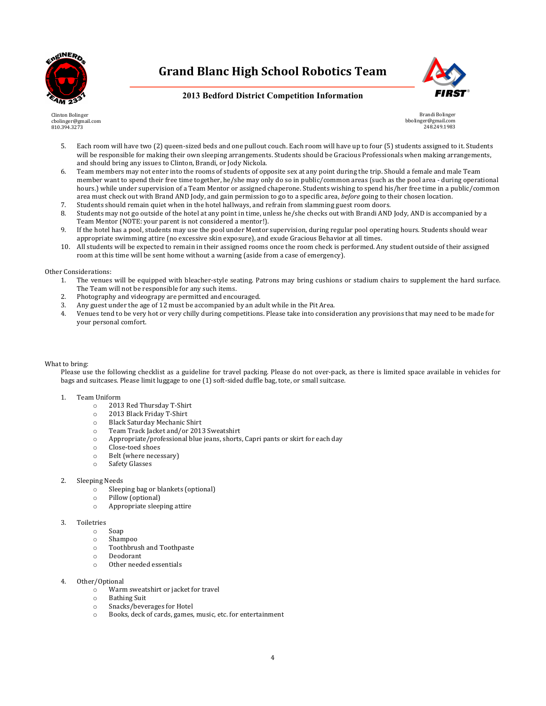



## **2013 Bedford District Competition Information**

Clinton Bolinger cbolinger@gmail.com 810.394.3273

Brandi Bolinger bbolinger@gmail.com 248.249.1983

- 5. Each room will have two (2) queen-sized beds and one pullout couch. Each room will have up to four (5) students assigned to it. Students will be responsible for making their own sleeping arrangements. Students should be Gracious Professionals when making arrangements, and should bring any issues to Clinton, Brandi, or Jody Nickola.
- 6. Team members may not enter into the rooms of students of opposite sex at any point during the trip. Should a female and male Team member want to spend their free time together, he/she may only do so in public/common areas (such as the pool area - during operational hours.) while under supervision of a Team Mentor or assigned chaperone. Students wishing to spend his/her free time in a public/common area must check out with Brand AND Jody, and gain permission to go to a specific area, *before* going to their chosen location.
- 7. Students should remain quiet when in the hotel hallways, and refrain from slamming guest room doors.
- 8. Students may not go outside of the hotel at any point in time, unless he/she checks out with Brandi AND Jody, AND is accompanied by a Team Mentor (NOTE: your parent is not considered a mentor!).
- 9. If the hotel has a pool, students may use the pool under Mentor supervision, during regular pool operating hours. Students should wear appropriate swimming attire (no excessive skin exposure), and exude Gracious Behavior at all times.
- 10. All students will be expected to remain in their assigned rooms once the room check is performed. Any student outside of their assigned room at this time will be sent home without a warning (aside from a case of emergency).

#### Other Considerations:

- 1. The venues will be equipped with bleacher-style seating. Patrons may bring cushions or stadium chairs to supplement the hard surface. The Team will not be responsible for any such items.
- 2. Photography and videograpy are permitted and encouraged.
- 3. Any guest under the age of 12 must be accompanied by an adult while in the Pit Area.
- 4. Venues tend to be very hot or very chilly during competitions. Please take into consideration any provisions that may need to be made for your personal comfort.

#### What to bring:

Please use the following checklist as a guideline for travel packing. Please do not over-pack, as there is limited space available in vehicles for bags and suitcases. Please limit luggage to one (1) soft-sided duffle bag, tote, or small suitcase.

#### 1. Team Uniform

- o 2013 Red Thursday T-Shirt
- o 2013 Black Friday T-Shirt
- o Black Saturday Mechanic Shirt
- o Team Track Jacket and/or 2013 Sweatshirt
- o Appropriate/professional blue jeans, shorts, Capri pants or skirt for each day
- o Close-toed shoes
- o Belt (where necessary)
- o Safety Glasses

#### 2. Sleeping Needs

- o Sleeping bag or blankets (optional)
- o Pillow (optional)
- o Appropriate sleeping attire

#### 3. Toiletries

- o Soap
- o Shampoo
- o Toothbrush and Toothpaste
- o Deodorant o Other needed essentials
- 

#### Other/Optional

- o Warm sweatshirt or jacket for travel
- o Bathing Suit
- o Snacks/beverages for Hotel
- o Books, deck of cards, games, music, etc. for entertainment